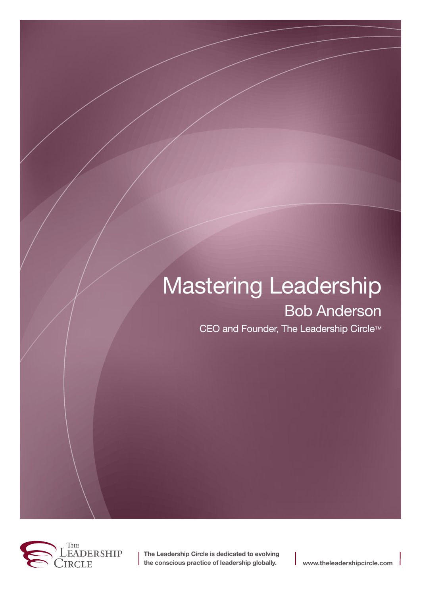# Mastering Leadership Bob Anderson

CEO and Founder, The Leadership Circle™



**The Leadership Circle is dedicated to evolving the conscious practice of leadership globally. www.theleadershipcircle.com**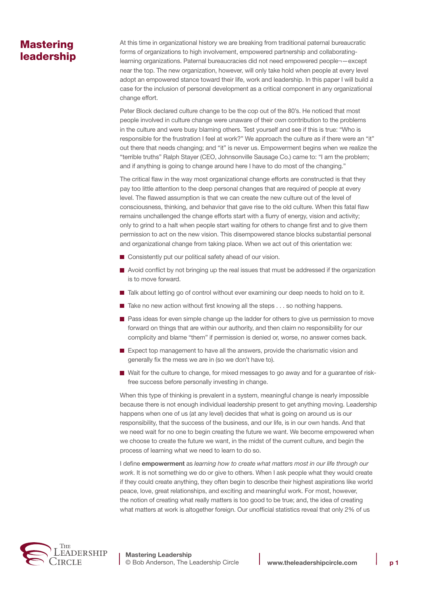# **Mastering** leadership

At this time in organizational history we are breaking from traditional paternal bureaucratic forms of organizations to high involvement, empowered partnership and collaboratinglearning organizations. Paternal bureaucracies did not need empowered people¬—except near the top. The new organization, however, will only take hold when people at every level adopt an empowered stance toward their life, work and leadership. In this paper I will build a case for the inclusion of personal development as a critical component in any organizational change effort.

Peter Block declared culture change to be the cop out of the 80's. He noticed that most people involved in culture change were unaware of their own contribution to the problems in the culture and were busy blaming others. Test yourself and see if this is true: "Who is responsible for the frustration I feel at work?" We approach the culture as if there were an "it" out there that needs changing; and "it" is never us. Empowerment begins when we realize the "terrible truths" Ralph Stayer (CEO, Johnsonville Sausage Co.) came to: "I am the problem; and if anything is going to change around here I have to do most of the changing."

The critical flaw in the way most organizational change efforts are constructed is that they pay too little attention to the deep personal changes that are required of people at every level. The flawed assumption is that we can create the new culture out of the level of consciousness, thinking, and behavior that gave rise to the old culture. When this fatal flaw remains unchallenged the change efforts start with a flurry of energy, vision and activity; only to grind to a halt when people start waiting for others to change first and to give them permission to act on the new vision. This disempowered stance blocks substantial personal and organizational change from taking place. When we act out of this orientation we:

- Consistently put our political safety ahead of our vision.
- Avoid conflict by not bringing up the real issues that must be addressed if the organization is to move forward.
- Talk about letting go of control without ever examining our deep needs to hold on to it.
- $\blacksquare$  Take no new action without first knowing all the steps  $\ldots$  so nothing happens.
- Pass ideas for even simple change up the ladder for others to give us permission to move forward on things that are within our authority, and then claim no responsibility for our complicity and blame "them" if permission is denied or, worse, no answer comes back.
- Expect top management to have all the answers, provide the charismatic vision and generally fix the mess we are in (so we don't have to).
- Wait for the culture to change, for mixed messages to go away and for a guarantee of riskfree success before personally investing in change.

When this type of thinking is prevalent in a system, meaningful change is nearly impossible because there is not enough individual leadership present to get anything moving. Leadership happens when one of us (at any level) decides that what is going on around us is our responsibility, that the success of the business, and our life, is in our own hands. And that we need wait for no one to begin creating the future we want. We become empowered when we choose to create the future we want, in the midst of the current culture, and begin the process of learning what we need to learn to do so.

I define **empowerment** as *learning how to create what matters most in our life through our work*. It is not something we do or give to others. When I ask people what they would create if they could create anything, they often begin to describe their highest aspirations like world peace, love, great relationships, and exciting and meaningful work. For most, however, the notion of creating what really matters is too good to be true; and, the idea of creating what matters at work is altogether foreign. Our unofficial statistics reveal that only 2% of us

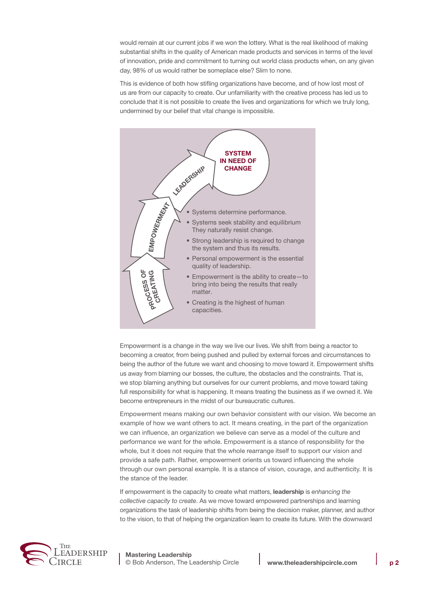would remain at our current jobs if we won the lottery. What is the real likelihood of making substantial shifts in the quality of American made products and services in terms of the level of innovation, pride and commitment to turning out world class products when, on any given day, 98% of us would rather be someplace else? Slim to none.

This is evidence of both how stifling organizations have become, and of how lost most of us are from our capacity to create. Our unfamiliarity with the creative process has led us to conclude that it is not possible to create the lives and organizations for which we truly long, undermined by our belief that vital change is impossible.



Empowerment is a change in the way we live our lives. We shift from being a reactor to becoming a creator, from being pushed and pulled by external forces and circumstances to being the author of the future we want and choosing to move toward it. Empowerment shifts us away from blaming our bosses, the culture, the obstacles and the constraints. That is, we stop blaming anything but ourselves for our current problems, and move toward taking full responsibility for what is happening. It means treating the business as if we owned it. We become entrepreneurs in the midst of our bureaucratic cultures.

Empowerment means making our own behavior consistent with our vision. We become an example of how we want others to act. It means creating, in the part of the organization we can influence, an organization we believe can serve as a model of the culture and performance we want for the whole. Empowerment is a stance of responsibility for the whole, but it does not require that the whole rearrange itself to support our vision and provide a safe path. Rather, empowerment orients us toward influencing the whole through our own personal example. It is a stance of vision, courage, and authenticity. It is the stance of the leader.

If empowerment is the capacity to create what matters, **leadership** is *enhancing the collective capacity to create*. As we move toward empowered partnerships and learning organizations the task of leadership shifts from being the decision maker, planner, and author to the vision, to that of helping the organization learn to create its future. With the downward

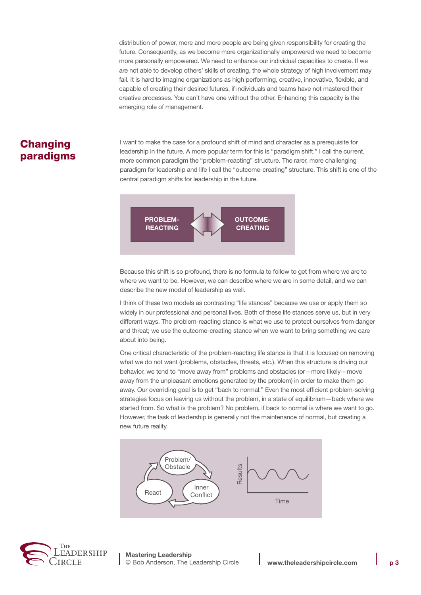distribution of power, more and more people are being given responsibility for creating the future. Consequently, as we become more organizationally empowered we need to become more personally empowered. We need to enhance our individual capacities to create. If we are not able to develop others' skills of creating, the whole strategy of high involvement may fail. It is hard to imagine organizations as high performing, creative, innovative, flexible, and capable of creating their desired futures, if individuals and teams have not mastered their creative processes. You can't have one without the other. Enhancing this capacity is the emerging role of management.

## **Changing** paradigms

I want to make the case for a profound shift of mind and character as a prerequisite for leadership in the future. A more popular term for this is "paradigm shift." I call the current, more common paradigm the "problem-reacting" structure. The rarer, more challenging paradigm for leadership and life I call the "outcome-creating" structure. This shift is one of the central paradigm shifts for leadership in the future.



Because this shift is so profound, there is no formula to follow to get from where we are to where we want to be. However, we can describe where we are in some detail, and we can describe the new model of leadership as well.

I think of these two models as contrasting "life stances" because we use or apply them so widely in our professional and personal lives. Both of these life stances serve us, but in very different ways. The problem-reacting stance is what we use to protect ourselves from danger and threat; we use the outcome-creating stance when we want to bring something we care about into being.

One critical characteristic of the problem-reacting life stance is that it is focused on removing what we do not want (problems, obstacles, threats, etc.). When this structure is driving our behavior, we tend to "move away from" problems and obstacles (or—more likely—move away from the unpleasant emotions generated by the problem) in order to make them go away. Our overriding goal is to get "back to normal." Even the most efficient problem-solving strategies focus on leaving us without the problem, in a state of equilibrium—back where we started from. So what is the problem? No problem, if back to normal is where we want to go. However, the task of leadership is generally not the maintenance of normal, but creating a new future reality.





**Mastering Leadership** © Bob Anderson, The Leadership Circle **www.theleadershipcircle.com p 3**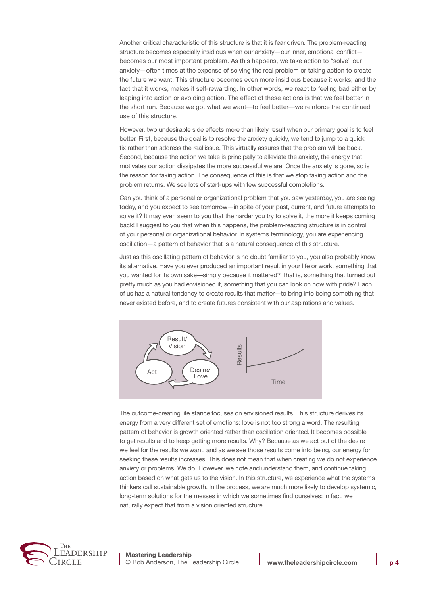Another critical characteristic of this structure is that it is fear driven. The problem-reacting structure becomes especially insidious when our anxiety—our inner, emotional conflict becomes our most important problem. As this happens, we take action to "solve" our anxiety—often times at the expense of solving the real problem or taking action to create the future we want. This structure becomes even more insidious because it works; and the fact that it works, makes it self-rewarding. In other words, we react to feeling bad either by leaping into action or avoiding action. The effect of these actions is that we feel better in the short run. Because we got what we want––to feel better––we reinforce the continued use of this structure.

However, two undesirable side effects more than likely result when our primary goal is to feel better. First, because the goal is to resolve the anxiety quickly, we tend to jump to a quick fix rather than address the real issue. This virtually assures that the problem will be back. Second, because the action we take is principally to alleviate the anxiety, the energy that motivates our action dissipates the more successful we are. Once the anxiety is gone, so is the reason for taking action. The consequence of this is that we stop taking action and the problem returns. We see lots of start-ups with few successful completions.

Can you think of a personal or organizational problem that you saw yesterday, you are seeing today, and you expect to see tomorrow—in spite of your past, current, and future attempts to solve it? It may even seem to you that the harder you try to solve it, the more it keeps coming back! I suggest to you that when this happens, the problem-reacting structure is in control of your personal or organizational behavior. In systems terminology, you are experiencing oscillation—a pattern of behavior that is a natural consequence of this structure.

Just as this oscillating pattern of behavior is no doubt familiar to you, you also probably know its alternative. Have you ever produced an important result in your life or work, something that you wanted for its own sake––simply because it mattered? That is, something that turned out pretty much as you had envisioned it, something that you can look on now with pride? Each of us has a natural tendency to create results that matter––to bring into being something that never existed before, and to create futures consistent with our aspirations and values.



The outcome-creating life stance focuses on envisioned results. This structure derives its energy from a very different set of emotions: love is not too strong a word. The resulting pattern of behavior is growth oriented rather than oscillation oriented. It becomes possible to get results and to keep getting more results. Why? Because as we act out of the desire we feel for the results we want, and as we see those results come into being, our energy for seeking these results increases. This does not mean that when creating we do not experience anxiety or problems. We do. However, we note and understand them, and continue taking action based on what gets us to the vision. In this structure, we experience what the systems thinkers call sustainable growth. In the process, we are much more likely to develop systemic, long-term solutions for the messes in which we sometimes find ourselves; in fact, we naturally expect that from a vision oriented structure.

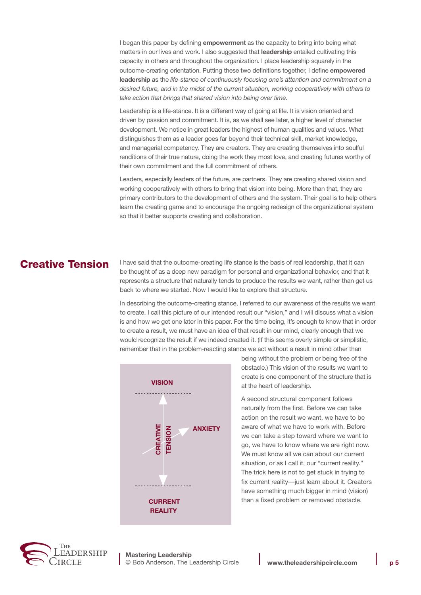I began this paper by defining **empowerment** as the capacity to bring into being what matters in our lives and work. I also suggested that **leadership** entailed cultivating this capacity in others and throughout the organization. I place leadership squarely in the outcome-creating orientation. Putting these two definitions together, I define **empowered leadership** as the *life-stance of continuously focusing one's attention and commitment on a desired future, and in the midst of the current situation, working cooperatively with others to take action that brings that shared vision into being over time.*

Leadership is a life-stance. It is a different way of going at life. It is vision oriented and driven by passion and commitment. It is, as we shall see later, a higher level of character development. We notice in great leaders the highest of human qualities and values. What distinguishes them as a leader goes far beyond their technical skill, market knowledge, and managerial competency. They are creators. They are creating themselves into soulful renditions of their true nature, doing the work they most love, and creating futures worthy of their own commitment and the full commitment of others.

Leaders, especially leaders of the future, are partners. They are creating shared vision and working cooperatively with others to bring that vision into being. More than that, they are primary contributors to the development of others and the system. Their goal is to help others learn the creating game and to encourage the ongoing redesign of the organizational system so that it better supports creating and collaboration.

### Creative Tension

I have said that the outcome-creating life stance is the basis of real leadership, that it can be thought of as a deep new paradigm for personal and organizational behavior, and that it represents a structure that naturally tends to produce the results we want, rather than get us back to where we started. Now I would like to explore that structure.

In describing the outcome-creating stance, I referred to our awareness of the results we want to create. I call this picture of our intended result our "vision," and I will discuss what a vision is and how we get one later in this paper. For the time being, it's enough to know that in order to create a result, we must have an idea of that result in our mind, clearly enough that we would recognize the result if we indeed created it. (If this seems overly simple or simplistic, remember that in the problem-reacting stance we act without a result in mind other than



being without the problem or being free of the obstacle.) This vision of the results we want to create is one component of the structure that is at the heart of leadership.

A second structural component follows naturally from the first. Before we can take action on the result we want, we have to be aware of what we have to work with. Before we can take a step toward where we want to go, we have to know where we are right now. We must know all we can about our current situation, or as I call it, our "current reality." The trick here is not to get stuck in trying to fix current reality––just learn about it. Creators have something much bigger in mind (vision) than a fixed problem or removed obstacle.

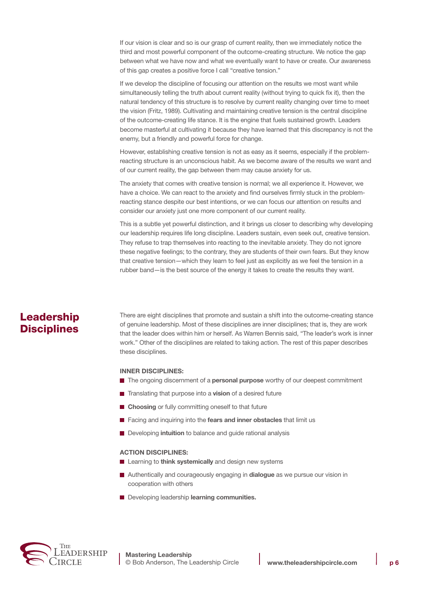If our vision is clear and so is our grasp of current reality, then we immediately notice the third and most powerful component of the outcome-creating structure. We notice the gap between what we have now and what we eventually want to have or create. Our awareness of this gap creates a positive force I call "creative tension."

If we develop the discipline of focusing our attention on the results we most want while simultaneously telling the truth about current reality (without trying to quick fix it), then the natural tendency of this structure is to resolve by current reality changing over time to meet the vision (Fritz, 1989). Cultivating and maintaining creative tension is the central discipline of the outcome-creating life stance. It is the engine that fuels sustained growth. Leaders become masterful at cultivating it because they have learned that this discrepancy is not the enemy, but a friendly and powerful force for change.

However, establishing creative tension is not as easy as it seems, especially if the problemreacting structure is an unconscious habit. As we become aware of the results we want and of our current reality, the gap between them may cause anxiety for us.

The anxiety that comes with creative tension is normal; we all experience it. However, we have a choice. We can react to the anxiety and find ourselves firmly stuck in the problemreacting stance despite our best intentions, or we can focus our attention on results and consider our anxiety just one more component of our current reality.

This is a subtle yet powerful distinction, and it brings us closer to describing why developing our leadership requires life long discipline. Leaders sustain, even seek out, creative tension. They refuse to trap themselves into reacting to the inevitable anxiety. They do not ignore these negative feelings; to the contrary, they are students of their own fears. But they know that creative tension—which they learn to feel just as explicitly as we feel the tension in a rubber band—is the best source of the energy it takes to create the results they want.

## Leadership **Disciplines**

There are eight disciplines that promote and sustain a shift into the outcome-creating stance of genuine leadership. Most of these disciplines are inner disciplines; that is, they are work that the leader does within him or herself. As Warren Bennis said, "The leader's work is inner work." Other of the disciplines are related to taking action. The rest of this paper describes these disciplines.

#### **Inner Disciplines:**

- The ongoing discernment of a **personal purpose** worthy of our deepest commitment
- Translating that purpose into a **vision** of a desired future
- Choosing or fully committing oneself to that future
- Facing and inquiring into the **fears and inner obstacles** that limit us
- Developing **intuition** to balance and guide rational analysis

#### **Action Disciplines:**

- Learning to **think systemically** and design new systems
- Authentically and courageously engaging in **dialogue** as we pursue our vision in cooperation with others
- Developing leadership **learning communities.**

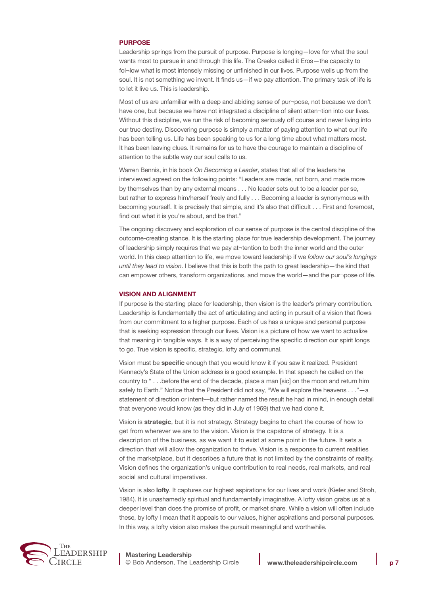#### **PURPOSE**

Leadership springs from the pursuit of purpose. Purpose is longing—love for what the soul wants most to pursue in and through this life. The Greeks called it Eros—the capacity to fol-low what is most intensely missing or unfinished in our lives. Purpose wells up from the soul. It is not something we invent. It finds us—if we pay attention. The primary task of life is to let it live us. This is leadership.

Most of us are unfamiliar with a deep and abiding sense of pur¬pose, not because we don't have one, but because we have not integrated a discipline of silent atten-tion into our lives. Without this discipline, we run the risk of becoming seriously off course and never living into our true destiny. Discovering purpose is simply a matter of paying attention to what our life has been telling us. Life has been speaking to us for a long time about what matters most. It has been leaving clues. It remains for us to have the courage to maintain a discipline of attention to the subtle way our soul calls to us.

Warren Bennis, in his book *On Becoming a Leader*, states that all of the leaders he interviewed agreed on the following points: "Leaders are made, not born, and made more by themselves than by any external means . . . No leader sets out to be a leader per se, but rather to express him/herself freely and fully . . . Becoming a leader is synonymous with becoming yourself. It is precisely that simple, and it's also that difficult . . . First and foremost, find out what it is you're about, and be that."

The ongoing discovery and exploration of our sense of purpose is the central discipline of the outcome-creating stance. It is the starting place for true leadership development. The journey of leadership simply requires that we pay at¬tention to both the inner world and the outer world. In this deep attention to life, we move toward leadership if we *follow our soul's longings until they lead to vision*. I believe that this is both the path to great leadership—the kind that can empower others, transform organizations, and move the world—and the pur¬pose of life.

#### **VISION AND ALIGNMENT**

If purpose is the starting place for leadership, then vision is the leader's primary contribution. Leadership is fundamentally the act of articulating and acting in pursuit of a vision that flows from our commitment to a higher purpose. Each of us has a unique and personal purpose that is seeking expression through our lives. Vision is a picture of how we want to actualize that meaning in tangible ways. It is a way of perceiving the specific direction our spirit longs to go. True vision is specific, strategic, lofty and communal.

Vision must be **specific** enough that you would know it if you saw it realized. President Kennedy's State of the Union address is a good example. In that speech he called on the country to " . . .before the end of the decade, place a man [sic] on the moon and return him safely to Earth." Notice that the President did not say, "We will explore the heavens . . ."—a statement of direction or intent--but rather named the result he had in mind, in enough detail that everyone would know (as they did in July of 1969) that we had done it.

Vision is **strategic**, but it is not strategy. Strategy begins to chart the course of how to get from wherever we are to the vision. Vision is the capstone of strategy. It is a description of the business, as we want it to exist at some point in the future. It sets a direction that will allow the organization to thrive. Vision is a response to current realities of the marketplace, but it describes a future that is not limited by the constraints of reality. Vision defines the organization's unique contribution to real needs, real markets, and real social and cultural imperatives.

Vision is also **lofty**. It captures our highest aspirations for our lives and work (Kiefer and Stroh, 1984). It is unashamedly spiritual and fundamentally imaginative. A lofty vision grabs us at a deeper level than does the promise of profit, or market share. While a vision will often include these, by lofty I mean that it appeals to our values, higher aspirations and personal purposes. In this way, a lofty vision also makes the pursuit meaningful and worthwhile.

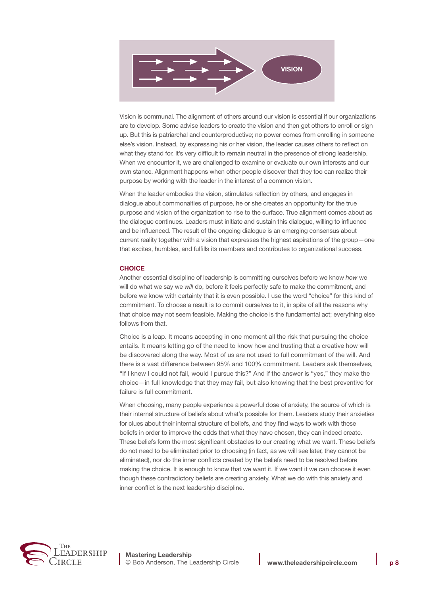

Vision is communal. The alignment of others around our vision is essential if our organizations are to develop. Some advise leaders to create the vision and then get others to enroll or sign up. But this is patriarchal and counterproductive; no power comes from enrolling in someone else's vision. Instead, by expressing his or her vision, the leader causes others to reflect on what they stand for. It's very difficult to remain neutral in the presence of strong leadership. When we encounter it, we are challenged to examine or evaluate our own interests and our own stance. Alignment happens when other people discover that they too can realize their purpose by working with the leader in the interest of a common vision.

When the leader embodies the vision, stimulates reflection by others, and engages in dialogue about commonalties of purpose, he or she creates an opportunity for the true purpose and vision of the organization to rise to the surface. True alignment comes about as the dialogue continues. Leaders must initiate and sustain this dialogue, willing to influence and be influenced. The result of the ongoing dialogue is an emerging consensus about current reality together with a vision that expresses the highest aspirations of the group—one that excites, humbles, and fulfills its members and contributes to organizational success.

#### **CHOICE**

Another essential discipline of leadership is committing ourselves before we know *how* we will do what we say we *will* do, before it feels perfectly safe to make the commitment, and before we know with certainty that it is even possible. I use the word "choice" for this kind of commitment. To choose a result is to commit ourselves to it, in spite of all the reasons why that choice may not seem feasible. Making the choice is the fundamental act; everything else follows from that.

Choice is a leap. It means accepting in one moment all the risk that pursuing the choice entails. It means letting go of the need to know how and trusting that a creative how will be discovered along the way. Most of us are not used to full commitment of the will. And there is a vast difference between 95% and 100% commitment. Leaders ask themselves, "If I knew I could not fail, would I pursue this?" And if the answer is "yes," they make the choice—in full knowledge that they may fail, but also knowing that the best preventive for failure is full commitment.

When choosing, many people experience a powerful dose of anxiety, the source of which is their internal structure of beliefs about what's possible for them. Leaders study their anxieties for clues about their internal structure of beliefs, and they find ways to work with these beliefs in order to improve the odds that what they have chosen, they can indeed create. These beliefs form the most significant obstacles to our creating what we want. These beliefs do not need to be eliminated prior to choosing (in fact, as we will see later, they cannot be eliminated), nor do the inner conflicts created by the beliefs need to be resolved before making the choice. It is enough to know that we want it. If we want it we can choose it even though these contradictory beliefs are creating anxiety. What we do with this anxiety and inner conflict is the next leadership discipline.

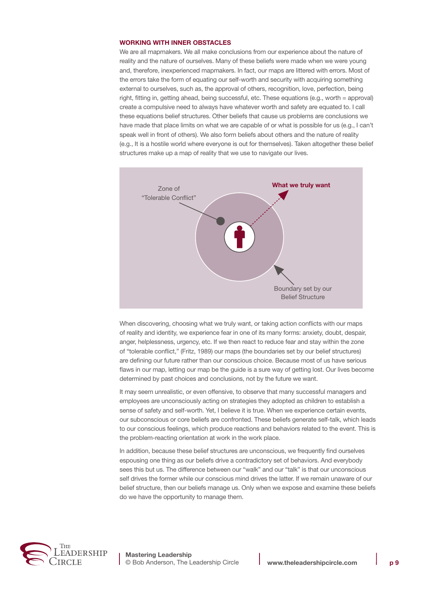#### **WORKING WITH INNER OBSTACLES**

We are all mapmakers. We all make conclusions from our experience about the nature of reality and the nature of ourselves. Many of these beliefs were made when we were young and, therefore, inexperienced mapmakers. In fact, our maps are littered with errors. Most of the errors take the form of equating our self-worth and security with acquiring something external to ourselves, such as, the approval of others, recognition, love, perfection, being right, fitting in, getting ahead, being successful, etc. These equations (e.g., worth = approval) create a compulsive need to always have whatever worth and safety are equated to. I call these equations belief structures. Other beliefs that cause us problems are conclusions we have made that place limits on what we are capable of or what is possible for us (e.g., I can't speak well in front of others). We also form beliefs about others and the nature of reality (e.g., It is a hostile world where everyone is out for themselves). Taken altogether these belief structures make up a map of reality that we use to navigate our lives.



When discovering, choosing what we truly want, or taking action conflicts with our maps of reality and identity, we experience fear in one of its many forms: anxiety, doubt, despair, anger, helplessness, urgency, etc. If we then react to reduce fear and stay within the zone of "tolerable conflict," (Fritz, 1989) our maps (the boundaries set by our belief structures) are defining our future rather than our conscious choice. Because most of us have serious flaws in our map, letting our map be the guide is a sure way of getting lost. Our lives become determined by past choices and conclusions, not by the future we want.

It may seem unrealistic, or even offensive, to observe that many successful managers and employees are unconsciously acting on strategies they adopted as children to establish a sense of safety and self-worth. Yet, I believe it is true. When we experience certain events, our subconscious or core beliefs are confronted. These beliefs generate self-talk, which leads to our conscious feelings, which produce reactions and behaviors related to the event. This is the problem-reacting orientation at work in the work place.

In addition, because these belief structures are unconscious, we frequently find ourselves espousing one thing as our beliefs drive a contradictory set of behaviors. And everybody sees this but us. The difference between our "walk" and our "talk" is that our unconscious self drives the former while our conscious mind drives the latter. If we remain unaware of our belief structure, then our beliefs manage us. Only when we expose and examine these beliefs do we have the opportunity to manage them.

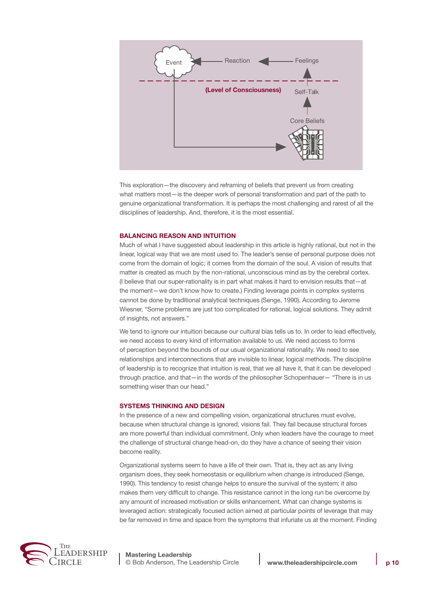

This exploration—the discovery and reframing of beliefs that prevent us from creating what matters most—is the deeper work of personal transformation and part of the path to genuine organizational transformation. It is perhaps the most challenging and rarest of all the disciplines of leadership. And, therefore, it is the most essential.

#### **BALANCING REASON AND INTUITION**

Much of what I have suggested about leadership in this article is highly rational, but not in the linear, logical way that we are most used to. The leader's sense of personal purpose does not come from the domain of logic; it comes from the domain of the soul. A vision of results that matter is created as much by the non-rational, unconscious mind as by the cerebral cortex. (I believe that our super-rationality is in part what makes it hard to envision results that—at the moment—we don't know how to create.) Finding leverage points in complex systems cannot be done by traditional analytical techniques (Senge, 1990). According to Jerome Wiesner, "Some problems are just too complicated for rational, logical solutions. They admit of insights, not answers."

We tend to ignore our intuition because our cultural bias tells us to. In order to lead effectively, we need access to every kind of information available to us. We need access to forms of perception beyond the bounds of our usual organizational rationality. We need to see relationships and interconnections that are invisible to linear, logical methods. The discipline of leadership is to recognize that intuition is real, that we all have it, that it can be developed through practice, and that—in the words of the philosopher Schopenhauer— "There is in us something wiser than our head."

#### **SYSTEMS THINKING AND DESIGN**

In the presence of a new and compelling vision, organizational structures must evolve, because when structural change is ignored, visions fail. They fail because structural forces are more powerful than individual commitment. Only when leaders have the courage to meet the challenge of structural change head-on, do they have a chance of seeing their vision become reality.

Organizational systems seem to have a life of their own. That is, they act as any living organism does, they seek homeostasis or equilibrium when change is introduced (Senge, 1990). This tendency to resist change helps to ensure the survival of the system; it also makes them very difficult to change. This resistance cannot in the long run be overcome by any amount of increased motivation or skills enhancement. What can change systems is leveraged action: strategically focused action aimed at particular points of leverage that may be far removed in time and space from the symptoms that infuriate us at the moment. Finding

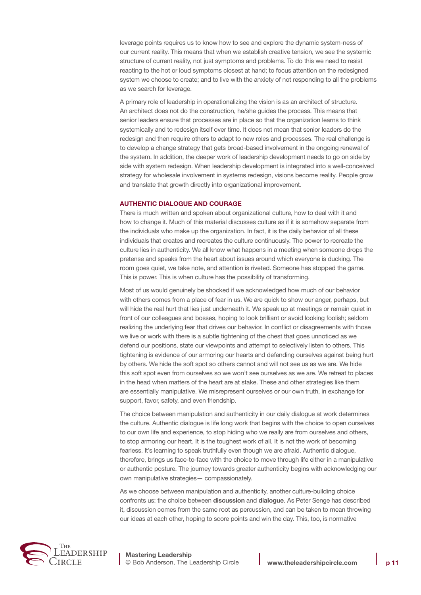leverage points requires us to know how to see and explore the dynamic system-ness of our current reality. This means that when we establish creative tension, we see the systemic structure of current reality, not just symptoms and problems. To do this we need to resist reacting to the hot or loud symptoms closest at hand; to focus attention on the redesigned system we choose to create; and to live with the anxiety of not responding to all the problems as we search for leverage.

A primary role of leadership in operationalizing the vision is as an architect of structure. An architect does not do the construction, he/she guides the process. This means that senior leaders ensure that processes are in place so that the organization learns to think systemically and to redesign itself over time. It does not mean that senior leaders do the redesign and then require others to adapt to new roles and processes. The real challenge is to develop a change strategy that gets broad-based involvement in the ongoing renewal of the system. In addition, the deeper work of leadership development needs to go on side by side with system redesign. When leadership development is integrated into a well-conceived strategy for wholesale involvement in systems redesign, visions become reality. People grow and translate that growth directly into organizational improvement.

#### **AUTHENTIC DIALOGUE AND COURAGE**

There is much written and spoken about organizational culture, how to deal with it and how to change it. Much of this material discusses culture as if it is somehow separate from the individuals who make up the organization. In fact, it is the daily behavior of all these individuals that creates and recreates the culture continuously. The power to recreate the culture lies in authenticity. We all know what happens in a meeting when someone drops the pretense and speaks from the heart about issues around which everyone is ducking. The room goes quiet, we take note, and attention is riveted. Someone has stopped the game. This is power. This is when culture has the possibility of transforming.

Most of us would genuinely be shocked if we acknowledged how much of our behavior with others comes from a place of fear in us. We are quick to show our anger, perhaps, but will hide the real hurt that lies just underneath it. We speak up at meetings or remain quiet in front of our colleagues and bosses, hoping to look brilliant or avoid looking foolish; seldom realizing the underlying fear that drives our behavior. In conflict or disagreements with those we live or work with there is a subtle tightening of the chest that goes unnoticed as we defend our positions, state our viewpoints and attempt to selectively listen to others. This tightening is evidence of our armoring our hearts and defending ourselves against being hurt by others. We hide the soft spot so others cannot and will not see us as we are. We hide this soft spot even from ourselves so we won't see ourselves as we are. We retreat to places in the head when matters of the heart are at stake. These and other strategies like them are essentially manipulative. We misrepresent ourselves or our own truth, in exchange for support, favor, safety, and even friendship.

The choice between manipulation and authenticity in our daily dialogue at work determines the culture. Authentic dialogue is life long work that begins with the choice to open ourselves to our own life and experience, to stop hiding who we really are from ourselves and others, to stop armoring our heart. It is the toughest work of all. It is not the work of becoming fearless. It's learning to speak truthfully even though we are afraid. Authentic dialogue, therefore, brings us face-to-face with the choice to move through life either in a manipulative or authentic posture. The journey towards greater authenticity begins with acknowledging our own manipulative strategies— compassionately.

As we choose between manipulation and authenticity, another culture-building choice confronts us: the choice between **discussion** and **dialogue**. As Peter Senge has described it, discussion comes from the same root as percussion, and can be taken to mean throwing our ideas at each other, hoping to score points and win the day. This, too, is normative

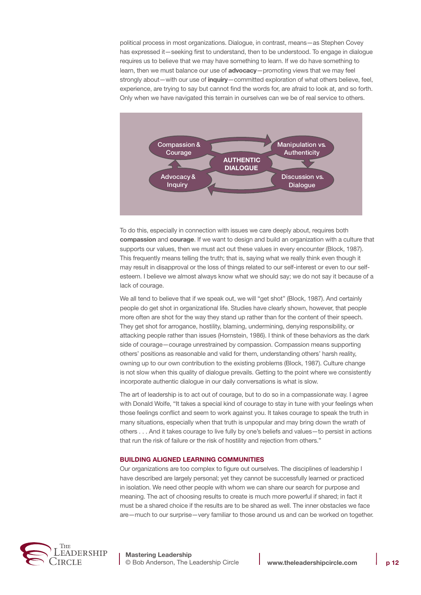political process in most organizations. Dialogue, in contrast, means—as Stephen Covey has expressed it—seeking first to understand, then to be understood. To engage in dialogue requires us to believe that we may have something to learn. If we do have something to learn, then we must balance our use of **advocacy**—promoting views that we may feel strongly about—with our use of **inquiry**—committed exploration of what others believe, feel, experience, are trying to say but cannot find the words for, are afraid to look at, and so forth. Only when we have navigated this terrain in ourselves can we be of real service to others.



To do this, especially in connection with issues we care deeply about, requires both **compassion** and **courage**. If we want to design and build an organization with a culture that supports our values, then we must act out these values in every encounter (Block, 1987). This frequently means telling the truth; that is, saying what we really think even though it may result in disapproval or the loss of things related to our self-interest or even to our selfesteem. I believe we almost always know what we should say; we do not say it because of a lack of courage.

We all tend to believe that if we speak out, we will "get shot" (Block, 1987). And certainly people do get shot in organizational life. Studies have clearly shown, however, that people more often are shot for the way they stand up rather than for the content of their speech. They get shot for arrogance, hostility, blaming, undermining, denying responsibility, or attacking people rather than issues (Hornstein, 1986). I think of these behaviors as the dark side of courage—courage unrestrained by compassion. Compassion means supporting others' positions as reasonable and valid for them, understanding others' harsh reality, owning up to our own contribution to the existing problems (Block, 1987). Culture change is not slow when this quality of dialogue prevails. Getting to the point where we consistently incorporate authentic dialogue in our daily conversations is what is slow.

The art of leadership is to act out of courage, but to do so in a compassionate way. I agree with Donald Wolfe, "It takes a special kind of courage to stay in tune with your feelings when those feelings conflict and seem to work against you. It takes courage to speak the truth in many situations, especially when that truth is unpopular and may bring down the wrath of others . . . And it takes courage to live fully by one's beliefs and values—to persist in actions that run the risk of failure or the risk of hostility and rejection from others."

#### **BUILDING ALIGNED LEARNING COMMUNITIES**

Our organizations are too complex to figure out ourselves. The disciplines of leadership I have described are largely personal; yet they cannot be successfully learned or practiced in isolation. We need other people with whom we can share our search for purpose and meaning. The act of choosing results to create is much more powerful if shared; in fact it must be a shared choice if the results are to be shared as well. The inner obstacles we face are—much to our surprise—very familiar to those around us and can be worked on together.

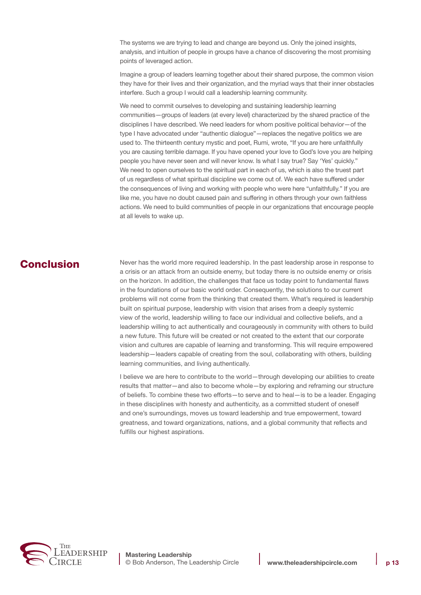The systems we are trying to lead and change are beyond us. Only the joined insights, analysis, and intuition of people in groups have a chance of discovering the most promising points of leveraged action.

Imagine a group of leaders learning together about their shared purpose, the common vision they have for their lives and their organization, and the myriad ways that their inner obstacles interfere. Such a group I would call a leadership learning community.

We need to commit ourselves to developing and sustaining leadership learning communities—groups of leaders (at every level) characterized by the shared practice of the disciplines I have described. We need leaders for whom positive political behavior—of the type I have advocated under "authentic dialogue"—replaces the negative politics we are used to. The thirteenth century mystic and poet, Rumi, wrote, "If you are here unfaithfully you are causing terrible damage. If you have opened your love to God's love you are helping people you have never seen and will never know. Is what I say true? Say 'Yes' quickly." We need to open ourselves to the spiritual part in each of us, which is also the truest part of us regardless of what spiritual discipline we come out of. We each have suffered under the consequences of living and working with people who were here "unfaithfully." If you are like me, you have no doubt caused pain and suffering in others through your own faithless actions. We need to build communities of people in our organizations that encourage people at all levels to wake up.

## Conclusion

Never has the world more required leadership. In the past leadership arose in response to a crisis or an attack from an outside enemy, but today there is no outside enemy or crisis on the horizon. In addition, the challenges that face us today point to fundamental flaws in the foundations of our basic world order. Consequently, the solutions to our current problems will not come from the thinking that created them. What's required is leadership built on spiritual purpose, leadership with vision that arises from a deeply systemic view of the world, leadership willing to face our individual and collective beliefs, and a leadership willing to act authentically and courageously in community with others to build a new future. This future will be created or not created to the extent that our corporate vision and cultures are capable of learning and transforming. This will require empowered leadership—leaders capable of creating from the soul, collaborating with others, building learning communities, and living authentically.

I believe we are here to contribute to the world—through developing our abilities to create results that matter—and also to become whole—by exploring and reframing our structure of beliefs. To combine these two efforts—to serve and to heal—is to be a leader. Engaging in these disciplines with honesty and authenticity, as a committed student of oneself and one's surroundings, moves us toward leadership and true empowerment, toward greatness, and toward organizations, nations, and a global community that reflects and fulfills our highest aspirations.